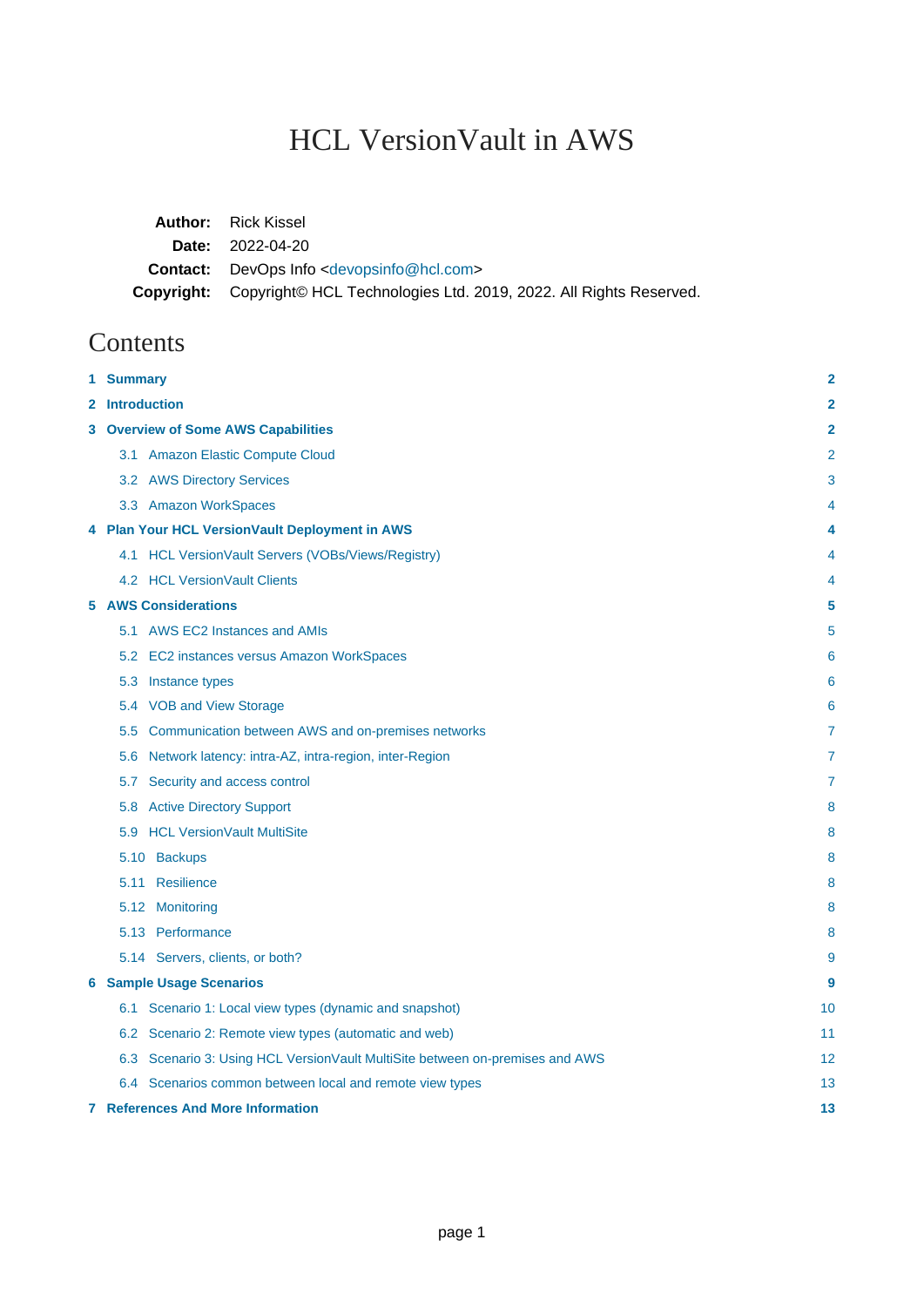# HCL VersionVault in AWS

| <b>Author:</b> Rick Kissel                                                   |
|------------------------------------------------------------------------------|
| <b>Date:</b> 2022-04-20                                                      |
| <b>Contact:</b> DevOps Info <devopsinfo@hcl.com></devopsinfo@hcl.com>        |
| Copyright: Copyright© HCL Technologies Ltd. 2019, 2022. All Rights Reserved. |

# Contents

| 1 Summary                                                                    | 2                       |
|------------------------------------------------------------------------------|-------------------------|
| 2 Introduction                                                               | $\overline{\mathbf{2}}$ |
| <b>3 Overview of Some AWS Capabilities</b>                                   | 2                       |
| 3.1 Amazon Elastic Compute Cloud                                             | 2                       |
| 3.2 AWS Directory Services                                                   | 3                       |
| 3.3 Amazon WorkSpaces                                                        | 4                       |
| 4 Plan Your HCL VersionVault Deployment in AWS                               | 4                       |
| 4.1 HCL VersionVault Servers (VOBs/Views/Registry)                           | 4                       |
| 4.2 HCL Version Vault Clients                                                | 4                       |
| <b>5 AWS Considerations</b>                                                  | 5                       |
| 5.1 AWS EC2 Instances and AMIs                                               | 5                       |
| 5.2 EC2 instances versus Amazon WorkSpaces                                   | 6                       |
| 5.3 Instance types                                                           | 6                       |
| 5.4 VOB and View Storage                                                     | 6                       |
| Communication between AWS and on-premises networks<br>5.5                    | 7                       |
| 5.6 Network latency: intra-AZ, intra-region, inter-Region                    | 7                       |
| Security and access control<br>5.7                                           | 7                       |
| 5.8 Active Directory Support                                                 | 8                       |
| 5.9 HCL Version Vault MultiSite                                              | 8                       |
| 5.10 Backups                                                                 | 8                       |
| 5.11 Resilience                                                              | 8                       |
| 5.12 Monitoring                                                              | 8                       |
| 5.13 Performance                                                             | 8                       |
| 5.14 Servers, clients, or both?                                              | 9                       |
| <b>6 Sample Usage Scenarios</b>                                              | 9                       |
| 6.1 Scenario 1: Local view types (dynamic and snapshot)                      | 10                      |
| 6.2 Scenario 2: Remote view types (automatic and web)                        | 11                      |
| 6.3 Scenario 3: Using HCL VersionVault MultiSite between on-premises and AWS | 12                      |
| 6.4 Scenarios common between local and remote view types                     | 13                      |
| <b>7 References And More Information</b>                                     | 13                      |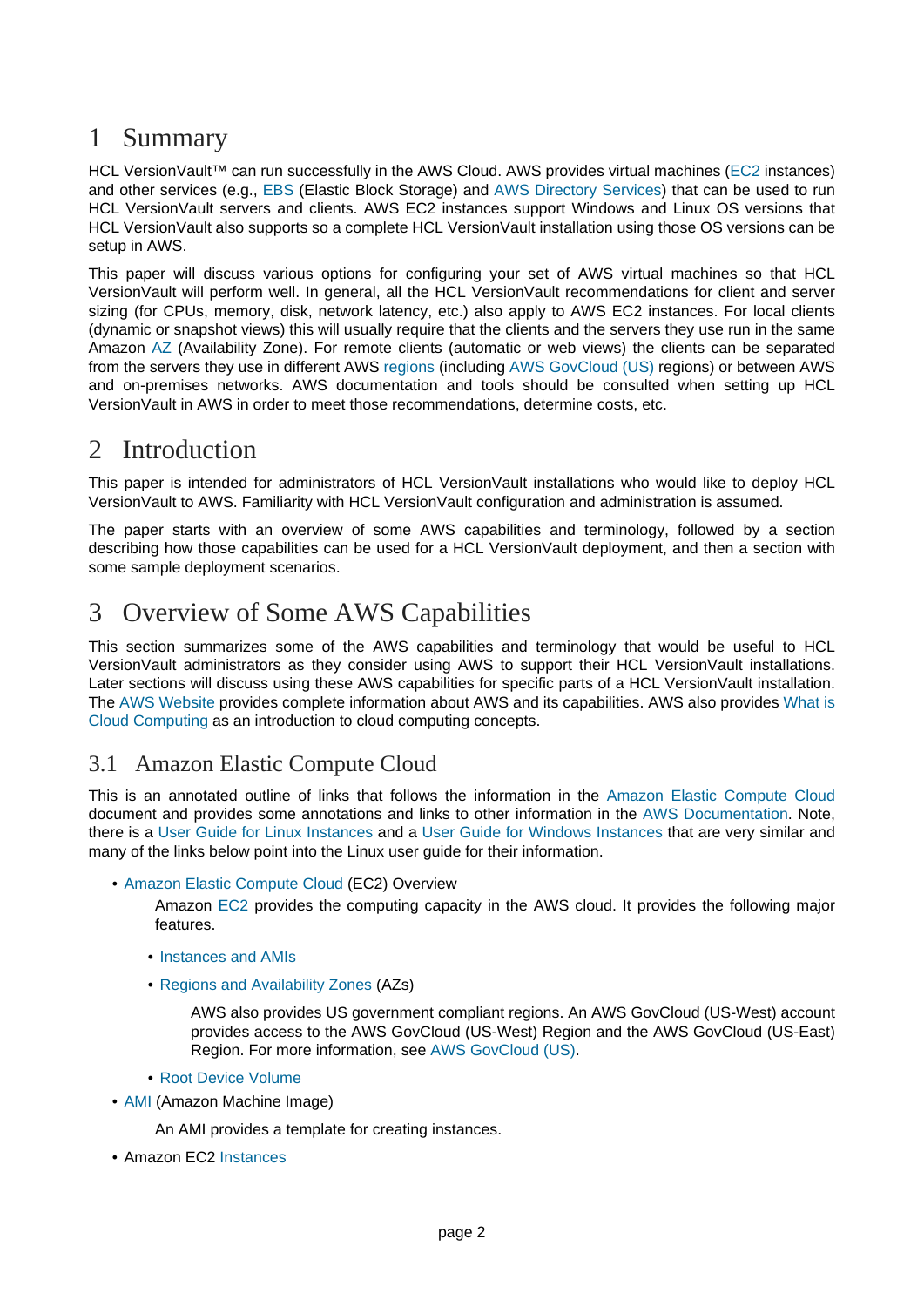## <span id="page-1-0"></span>1 Summary

HCL VersionVault<sup>™</sup> can run successfully in the AWS Cloud. AWS provides virtual machines ([EC2](https://docs.aws.amazon.com/AWSEC2/latest/UserGuide/concepts.html) instances) and other services (e.g., [EBS](https://docs.aws.amazon.com/AWSEC2/latest/UserGuide/AmazonEBS.html) (Elastic Block Storage) an[d AWS Directory Services](https://docs.aws.amazon.com/directory-service/index.html)) that can be used to run HCL VersionVault servers and clients. AWS EC2 instances support Windows and Linux OS versions that HCL VersionVault also supports so a complete HCL VersionVault installation using those OS versions can be setup in AWS.

This paper will discuss various options for configuring your set of AWS virtual machines so that HCL VersionVault will perform well. In general, all the HCL VersionVault recommendations for client and server sizing (for CPUs, memory, disk, network latency, etc.) also apply to AWS EC2 instances. For local clients (dynamic or snapshot views) this will usually require that the clients and the servers they use run in the same Amazon [AZ](https://docs.aws.amazon.com/AWSEC2/latest/UserGuide/using-regions-availability-zones.html) (Availability Zone). For remote clients (automatic or web views) the clients can be separated from the servers they use in different AWS [regions](https://docs.aws.amazon.com/AWSEC2/latest/UserGuide/using-regions-availability-zones.html) (including [AWS GovCloud \(US\)](https://aws.amazon.com/govcloud-us/) regions) or between AWS and on-premises networks. AWS documentation and tools should be consulted when setting up HCL VersionVault in AWS in order to meet those recommendations, determine costs, etc.

# <span id="page-1-1"></span>2 Introduction

This paper is intended for administrators of HCL VersionVault installations who would like to deploy HCL VersionVault to AWS. Familiarity with HCL VersionVault configuration and administration is assumed.

The paper starts with an overview of some AWS capabilities and terminology, followed by a section describing how those capabilities can be used for a HCL VersionVault deployment, and then a section with some sample deployment scenarios.

# <span id="page-1-2"></span>3 Overview of Some AWS Capabilities

This section summarizes some of the AWS capabilities and terminology that would be useful to HCL VersionVault administrators as they consider using AWS to support their HCL VersionVault installations. Later sections will discuss using these AWS capabilities for specific parts of a HCL VersionVault installation. The [AWS Website](https://aws.amazon.com/) provides complete information about AWS and its capabilities. AWS also provides [What is](https://aws.amazon.com/what-is-cloud-computing) [Cloud Computing](https://aws.amazon.com/what-is-cloud-computing) as an introduction to cloud computing concepts.

#### <span id="page-1-3"></span>3.1 Amazon Elastic Compute Cloud

This is an annotated outline of links that follows the information i[n the Amazon Elastic Compute Cloud](https://docs.aws.amazon.com/ec2/index.html) document and provides some annotations and links to other information in t[he AWS Documentation.](https://docs.aws.amazon.com/) Note, there is a [User Guide for Linux Instances](https://docs.aws.amazon.com/AWSEC2/latest/UserGuide/index.html) and a [User Guide for Windows Instances](https://docs.aws.amazon.com/AWSEC2/latest/WindowsGuide/index.html) that are very similar and many of the links below point into the Linux user guide for their information.

#### • [Amazon Elastic Compute Cloud](https://docs.aws.amazon.com/ec2/index.html) (EC2) Overview

Amazon [EC2](https://docs.aws.amazon.com/AWSEC2/latest/UserGuide/concepts.html) provides the computing capacity in the AWS cloud. It provides the following major features.

- [Instances and AMIs](https://docs.aws.amazon.com/AWSEC2/latest/UserGuide/ec2-instances-and-amis.html)
- [Regions and Availability Zones](https://docs.aws.amazon.com/AWSEC2/latest/UserGuide/using-regions-availability-zones.html) (AZs)

AWS also provides US government compliant regions. An AWS GovCloud (US-West) account provides access to the AWS GovCloud (US-West) Region and the AWS GovCloud (US-East) Region. For more information, see [AWS GovCloud \(US\).](https://aws.amazon.com/govcloud-us/)

- [Root Device Volume](https://docs.aws.amazon.com/AWSEC2/latest/UserGuide/RootDeviceStorage.html)
- [AMI](https://docs.aws.amazon.com/AWSEC2/latest/UserGuide/AMIs.html) (Amazon Machine Image)

An AMI provides a template for creating instances.

• Amazon EC2 [Instances](https://docs.aws.amazon.com/AWSEC2/latest/UserGuide/Instances.html)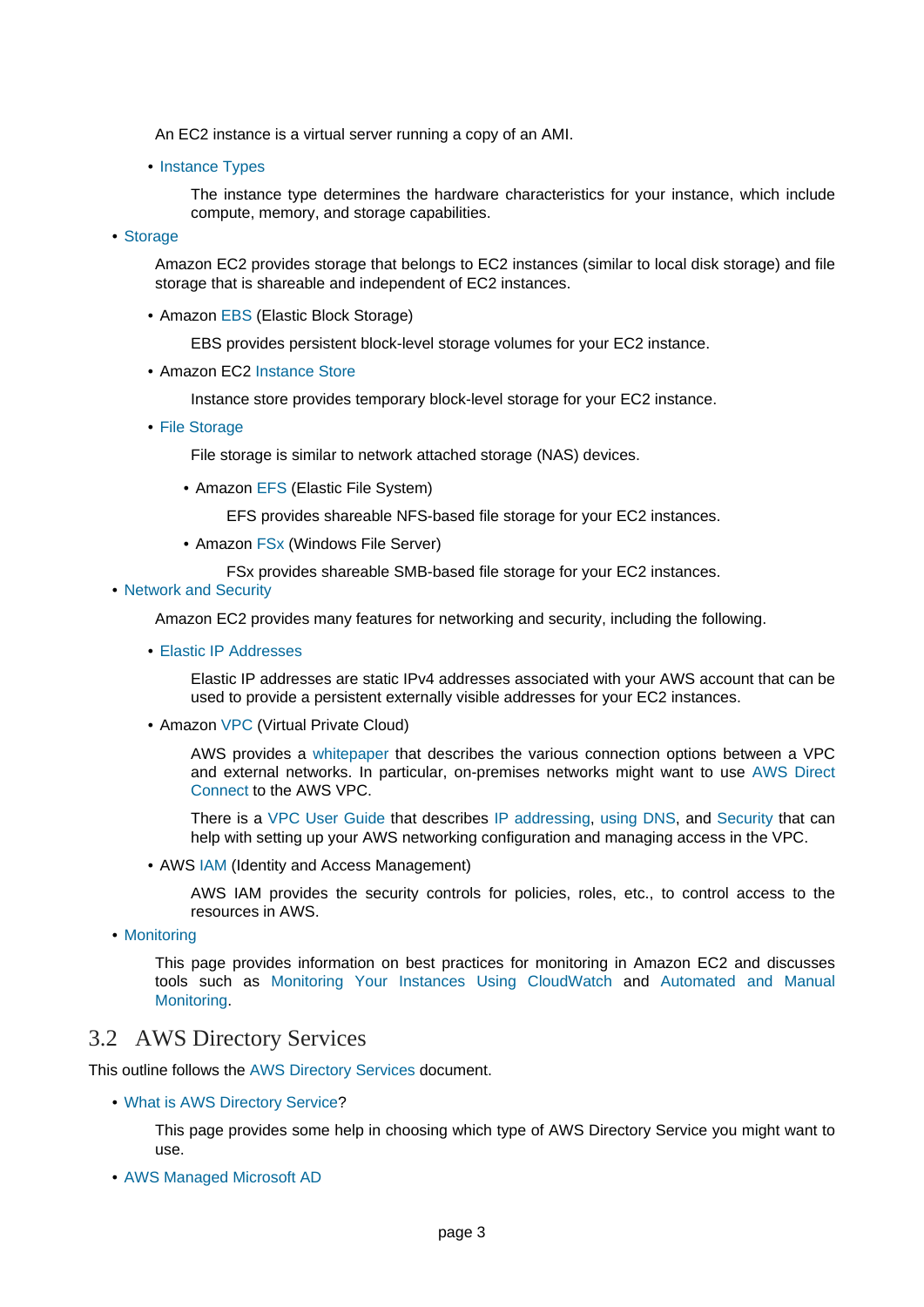An EC2 instance is a virtual server running a copy of an AMI.

• [Instance Types](https://docs.aws.amazon.com/AWSEC2/latest/UserGuide/instance-types.html)

The instance type determines the hardware characteristics for your instance, which include compute, memory, and storage capabilities.

• [Storage](https://docs.aws.amazon.com/AWSEC2/latest/UserGuide/Storage.html)

Amazon EC2 provides storage that belongs to EC2 instances (similar to local disk storage) and file storage that is shareable and independent of EC2 instances.

• Amazon [EBS](https://docs.aws.amazon.com/AWSEC2/latest/UserGuide/AmazonEBS.html) (Elastic Block Storage)

EBS provides persistent block-level storage volumes for your EC2 instance.

• Amazon EC2 [Instance Store](https://docs.aws.amazon.com/AWSEC2/latest/UserGuide/InstanceStorage.html)

Instance store provides temporary block-level storage for your EC2 instance.

• [File Storage](https://docs.aws.amazon.com/AWSEC2/latest/UserGuide/file-storage.html)

File storage is similar to network attached storage (NAS) devices.

• Amazon [EFS](https://docs.aws.amazon.com/AWSEC2/latest/UserGuide/file-storage.html) (Elastic File System)

EFS provides shareable NFS-based file storage for your EC2 instances.

• Amazon [FSx](https://docs.aws.amazon.com/AWSEC2/latest/UserGuide/file-storage.html) (Windows File Server)

FSx provides shareable SMB-based file storage for your EC2 instances.

• [Network and Security](https://docs.aws.amazon.com/AWSEC2/latest/UserGuide/EC2_Network_and_Security.html)

Amazon EC2 provides many features for networking and security, including the following.

• [Elastic IP Addresses](https://docs.aws.amazon.com/AWSEC2/latest/UserGuide/elastic-ip-addresses-eip.html)

Elastic IP addresses are static IPv4 addresses associated with your AWS account that can be used to provide a persistent externally visible addresses for your EC2 instances.

• Amazon [VPC](https://docs.aws.amazon.com/AWSEC2/latest/UserGuide/using-vpc.html) (Virtual Private Cloud)

AWS provides [a whitepaper](https://d0.awsstatic.com/whitepapers/aws-amazon-vpc-connectivity-options.pdf) that describes the various connection options between a VPC and external networks. In particular, on-premises networks might want to [use AWS Direct](https://docs.aws.amazon.com/directconnect/) [Connect](https://docs.aws.amazon.com/directconnect/) to the AWS VPC.

There is a [VPC User Guide](https://docs.aws.amazon.com/vpc/latest/userguide/what-is-amazon-vpc.html) that describe[s IP addressing](https://docs.aws.amazon.com/vpc/latest/userguide/vpc-ip-addressing.html)[, using DNS](https://docs.aws.amazon.com/vpc/latest/userguide/vpc-dns.html), a[nd Security](https://docs.aws.amazon.com/vpc/latest/userguide/VPC_Security.html) that can help with setting up your AWS networking configuration and managing access in the VPC.

• AWS [IAM](https://docs.aws.amazon.com/AWSEC2/latest/UserGuide/UsingIAM.html) (Identity and Access Management)

AWS IAM provides the security controls for policies, roles, etc., to control access to the resources in AWS.

• [Monitoring](https://docs.aws.amazon.com/AWSEC2/latest/UserGuide/monitoring_ec2.html)

This page provides information on best practices for monitoring in Amazon EC2 and discusses tools such [as Monitoring Your Instances Using CloudWatch](https://docs.aws.amazon.com/AWSEC2/latest/UserGuide/using-cloudwatch.html) [and Automated and Manua](https://docs.aws.amazon.com/AWSEC2/latest/UserGuide/monitoring_automated_manual.html)l [Monitoring.](https://docs.aws.amazon.com/AWSEC2/latest/UserGuide/monitoring_automated_manual.html)

#### <span id="page-2-0"></span>3.2 AWS Directory Services

This outline follows the [AWS Directory Services](https://docs.aws.amazon.com/directory-service/index.html) document.

• [What is AWS Directory Service?](https://docs.aws.amazon.com/directoryservice/latest/admin-guide/what_is.html)

This page provides some help in choosing which type of AWS Directory Service you might want to use.

• [AWS Managed Microsoft AD](https://docs.aws.amazon.com/directoryservice/latest/admin-guide/directory_microsoft_ad.html)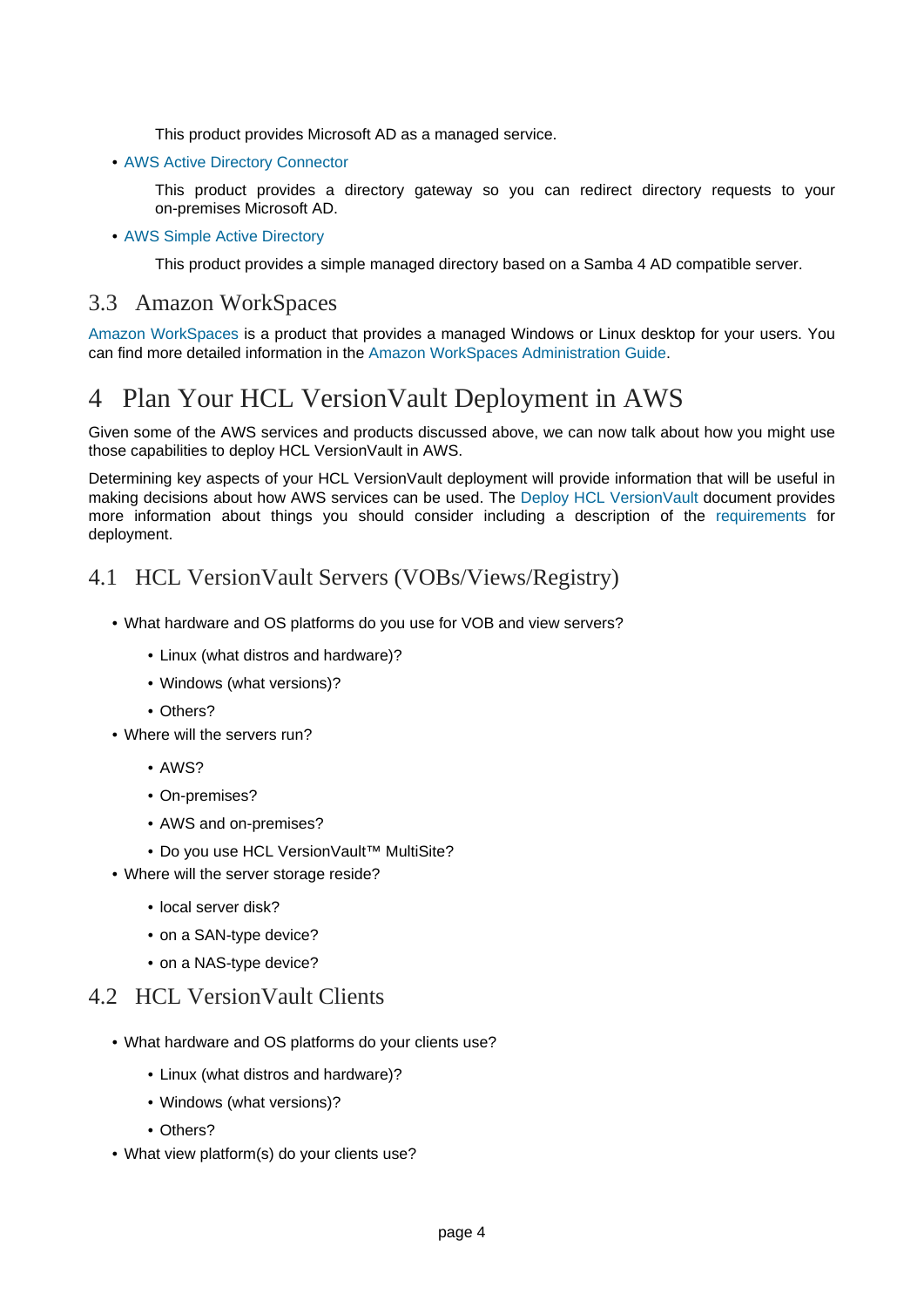This product provides Microsoft AD as a managed service.

• [AWS Active Directory Connector](https://docs.aws.amazon.com/directoryservice/latest/admin-guide/directory_ad_connector.html)

This product provides a directory gateway so you can redirect directory requests to your on-premises Microsoft AD.

• [AWS Simple Active Directory](https://docs.aws.amazon.com/directoryservice/latest/admin-guide/directory_simple_ad.html)

This product provides a simple managed directory based on a Samba 4 AD compatible server.

#### <span id="page-3-0"></span>3.3 Amazon WorkSpaces

[Amazon WorkSpaces](https://aws.amazon.com/workspaces/) is a product that provides a managed Windows or Linux desktop for your users. You can find more detailed information in the [Amazon WorkSpaces Administration Guide](https://docs.aws.amazon.com/workspaces/latest/adminguide/amazon-workspaces.html).

# <span id="page-3-1"></span>4 Plan Your HCL VersionVault Deployment in AWS

Given some of the AWS services and products discussed above, we can now talk about how you might use those capabilities to deploy HCL VersionVault in AWS.

Determining key aspects of your HCL VersionVault deployment will provide information that will be useful in making decisions about how AWS services can be used. Th[e Deploy HCL VersionVault](https://www.ibm.com/support/knowledgecenter/en/SSSH27_9.0.1/com.ibm.rational.clearcase.cc_ms_install.doc/topics/c_deploy_container.htm) document provides more information about things you should consider including a descripti[on of the requirements](https://www.ibm.com/software/reports/compatibility/clarity/softwareReqsForProduct.html) for deployment.

#### <span id="page-3-2"></span>4.1 HCL VersionVault Servers (VOBs/Views/Registry)

- What hardware and OS platforms do you use for VOB and view servers?
	- Linux (what distros and hardware)?
	- Windows (what versions)?
	- Others?
- Where will the servers run?
	- AWS?
	- On-premises?
	- AWS and on-premises?
	- Do you use HCL VersionVault™ MultiSite?
- Where will the server storage reside?
	- local server disk?
	- on a SAN-type device?
	- on a NAS-type device?

#### <span id="page-3-3"></span>4.2 HCL VersionVault Clients

- What hardware and OS platforms do your clients use?
	- Linux (what distros and hardware)?
	- Windows (what versions)?
	- Others?
- What view platform(s) do your clients use?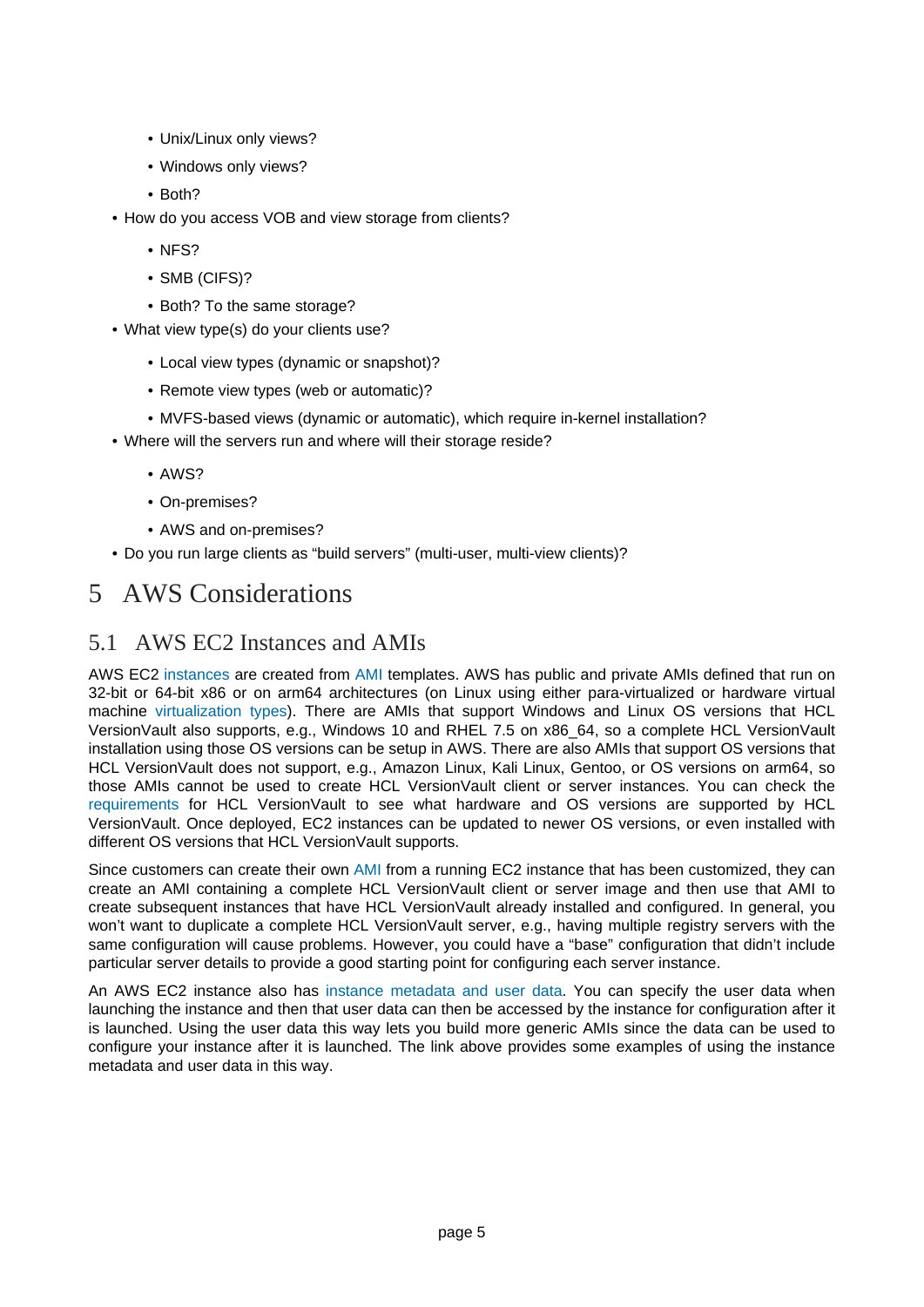- Unix/Linux only views?
- Windows only views?
- Both?
- How do you access VOB and view storage from clients?
	- NFS?
	- SMB (CIFS)?
	- Both? To the same storage?
- What view type(s) do your clients use?
	- Local view types (dynamic or snapshot)?
	- Remote view types (web or automatic)?
	- MVFS-based views (dynamic or automatic), which require in-kernel installation?
- Where will the servers run and where will their storage reside?
	- AWS?
	- On-premises?
	- AWS and on-premises?
- Do you run large clients as "build servers" (multi-user, multi-view clients)?

# <span id="page-4-0"></span>5 AWS Considerations

### <span id="page-4-1"></span>5.1 AWS EC2 Instances and AMIs

AWS EC2 [instances](https://docs.aws.amazon.com/AWSEC2/latest/UserGuide/Instances.html) are created from [AMI](https://docs.aws.amazon.com/AWSEC2/latest/UserGuide/AMIs.html) templates. AWS has public and private AMIs defined that run on 32-bit or 64-bit x86 or on arm64 architectures (on Linux using either para-virtualized or hardware virtual machine [virtualization types\)](https://docs.aws.amazon.com/AWSEC2/latest/UserGuide/virtualization_types.html). There are AMIs that support Windows and Linux OS versions that HCL VersionVault also supports, e.g., Windows 10 and RHEL 7.5 on x86\_64, so a complete HCL VersionVault installation using those OS versions can be setup in AWS. There are also AMIs that support OS versions that HCL VersionVault does not support, e.g., Amazon Linux, Kali Linux, Gentoo, or OS versions on arm64, so those AMIs cannot be used to create HCL VersionVault client or server instances. You can check the [requirements](https://www.ibm.com/software/reports/compatibility/clarity/softwareReqsForProduct.html) for HCL VersionVault to see what hardware and OS versions are supported by HCL VersionVault. Once deployed, EC2 instances can be updated to newer OS versions, or even installed with different OS versions that HCL VersionVault supports.

Since customers can create their own [AMI](https://docs.aws.amazon.com/AWSEC2/latest/UserGuide/AMIs.html) from a running EC2 instance that has been customized, they can create an AMI containing a complete HCL VersionVault client or server image and then use that AMI to create subsequent instances that have HCL VersionVault already installed and configured. In general, you won't want to duplicate a complete HCL VersionVault server, e.g., having multiple registry servers with the same configuration will cause problems. However, you could have a "base" configuration that didn't include particular server details to provide a good starting point for configuring each server instance.

An AWS EC2 instance also h[as instance metadata and user data](https://docs.aws.amazon.com/AWSEC2/latest/UserGuide/ec2-instance-metadata.html). You can specify the user data when launching the instance and then that user data can then be accessed by the instance for configuration after it is launched. Using the user data this way lets you build more generic AMIs since the data can be used to configure your instance after it is launched. The link above provides some examples of using the instance metadata and user data in this way.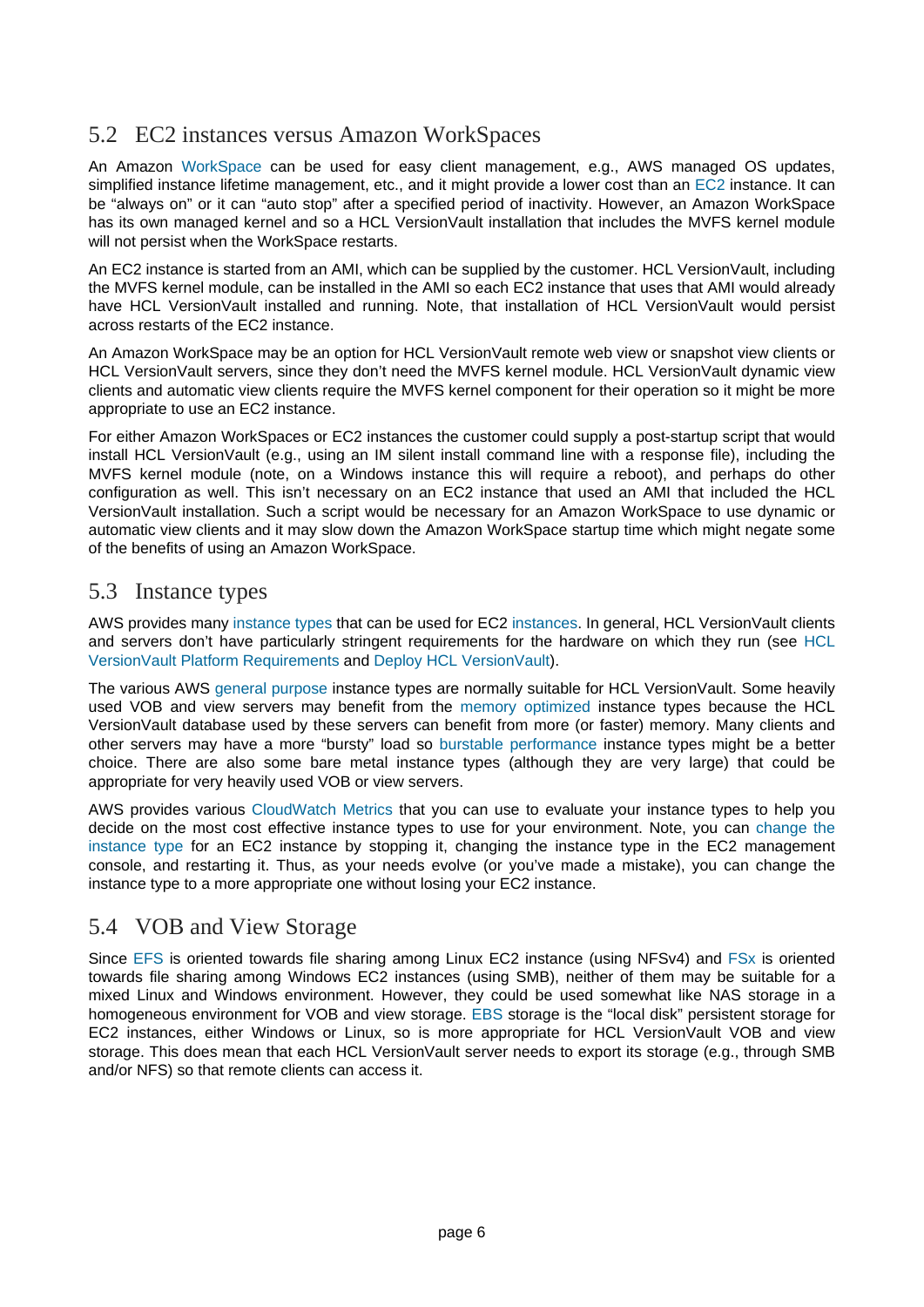### <span id="page-5-0"></span>5.2 EC2 instances versus Amazon WorkSpaces

An Amazo[n WorkSpace](https://docs.aws.amazon.com/workspaces/latest/adminguide/amazon-workspaces.html) can be used for easy client management, e.g., AWS managed OS updates, simplified instance lifetime management, etc., and it might provide a lower cost than a[n EC2](https://docs.aws.amazon.com/AWSEC2/latest/UserGuide/concepts.html) instance. It can be "always on" or it can "auto stop" after a specified period of inactivity. However, an Amazon WorkSpace has its own managed kernel and so a HCL VersionVault installation that includes the MVFS kernel module will not persist when the WorkSpace restarts.

An EC2 instance is started from an AMI, which can be supplied by the customer. HCL VersionVault, including the MVFS kernel module, can be installed in the AMI so each EC2 instance that uses that AMI would already have HCL VersionVault installed and running. Note, that installation of HCL VersionVault would persist across restarts of the EC2 instance.

An Amazon WorkSpace may be an option for HCL VersionVault remote web view or snapshot view clients or HCL VersionVault servers, since they don't need the MVFS kernel module. HCL VersionVault dynamic view clients and automatic view clients require the MVFS kernel component for their operation so it might be more appropriate to use an EC2 instance.

For either Amazon WorkSpaces or EC2 instances the customer could supply a post-startup script that would install HCL VersionVault (e.g., using an IM silent install command line with a response file), including the MVFS kernel module (note, on a Windows instance this will require a reboot), and perhaps do other configuration as well. This isn't necessary on an EC2 instance that used an AMI that included the HCL VersionVault installation. Such a script would be necessary for an Amazon WorkSpace to use dynamic or automatic view clients and it may slow down the Amazon WorkSpace startup time which might negate some of the benefits of using an Amazon WorkSpace.

#### <span id="page-5-1"></span>5.3 Instance types

AWS provides many [instance types](https://docs.aws.amazon.com/AWSEC2/latest/UserGuide/instance-types.html) that can be used for EC2 [instances](https://docs.aws.amazon.com/AWSEC2/latest/UserGuide/Instances.html). In general, HCL VersionVault clients and servers don't have particularly stringent requirements for the hardware on which they run [\(see HCL](https://www.ibm.com/software/reports/compatibility/clarity/softwareReqsForProduct.html) [VersionVault Platform Requirements](https://www.ibm.com/software/reports/compatibility/clarity/softwareReqsForProduct.html) and [Deploy HCL VersionVault](https://www.ibm.com/support/knowledgecenter/en/SSSH27_9.0.1/com.ibm.rational.clearcase.cc_ms_install.doc/topics/c_deploy_container.htm)).

The various AWS [general purpose](https://docs.aws.amazon.com/AWSEC2/latest/UserGuide/general-purpose-instances.html) instance types are normally suitable for HCL VersionVault. Some heavily used VOB and view servers may benefit from [the memory optimized](https://docs.aws.amazon.com/AWSEC2/latest/UserGuide/memory-optimized-instances.html) instance types because the HCL VersionVault database used by these servers can benefit from more (or faster) memory. Many clients and other servers may have a more "bursty" load [so burstable performance](https://docs.aws.amazon.com/AWSEC2/latest/UserGuide/burstable-performance-instances.html) instance types might be a better choice. There are also some bare metal instance types (although they are very large) that could be appropriate for very heavily used VOB or view servers.

AWS provides variou[s CloudWatch Metrics](https://docs.aws.amazon.com/AWSEC2/latest/UserGuide/viewing_metrics_with_cloudwatch.html) that you can use to evaluate your instance types to help you decide on the most cost effective instance types to use for your environment. Note, you [can change the](https://docs.aws.amazon.com/AWSEC2/latest/UserGuide/ec2-instance-resize.html) [instance type](https://docs.aws.amazon.com/AWSEC2/latest/UserGuide/ec2-instance-resize.html) for an EC2 instance by stopping it, changing the instance type in the EC2 management console, and restarting it. Thus, as your needs evolve (or you've made a mistake), you can change the instance type to a more appropriate one without losing your EC2 instance.

#### <span id="page-5-2"></span>5.4 VOB and View Storage

Since [EFS](https://docs.aws.amazon.com/AWSEC2/latest/UserGuide/file-storage.html) is oriented towards file sharing among Linux EC2 instance (using NFSv4) [and FSx](https://docs.aws.amazon.com/AWSEC2/latest/UserGuide/file-storage.html) is oriented towards file sharing among Windows EC2 instances (using SMB), neither of them may be suitable for a mixed Linux and Windows environment. However, they could be used somewhat like NAS storage in a homogeneous environment for VOB and view storage[. EBS](https://docs.aws.amazon.com/AWSEC2/latest/UserGuide/AmazonEBS.html) storage is the "local disk" persistent storage for EC2 instances, either Windows or Linux, so is more appropriate for HCL VersionVault VOB and view storage. This does mean that each HCL VersionVault server needs to export its storage (e.g., through SMB and/or NFS) so that remote clients can access it.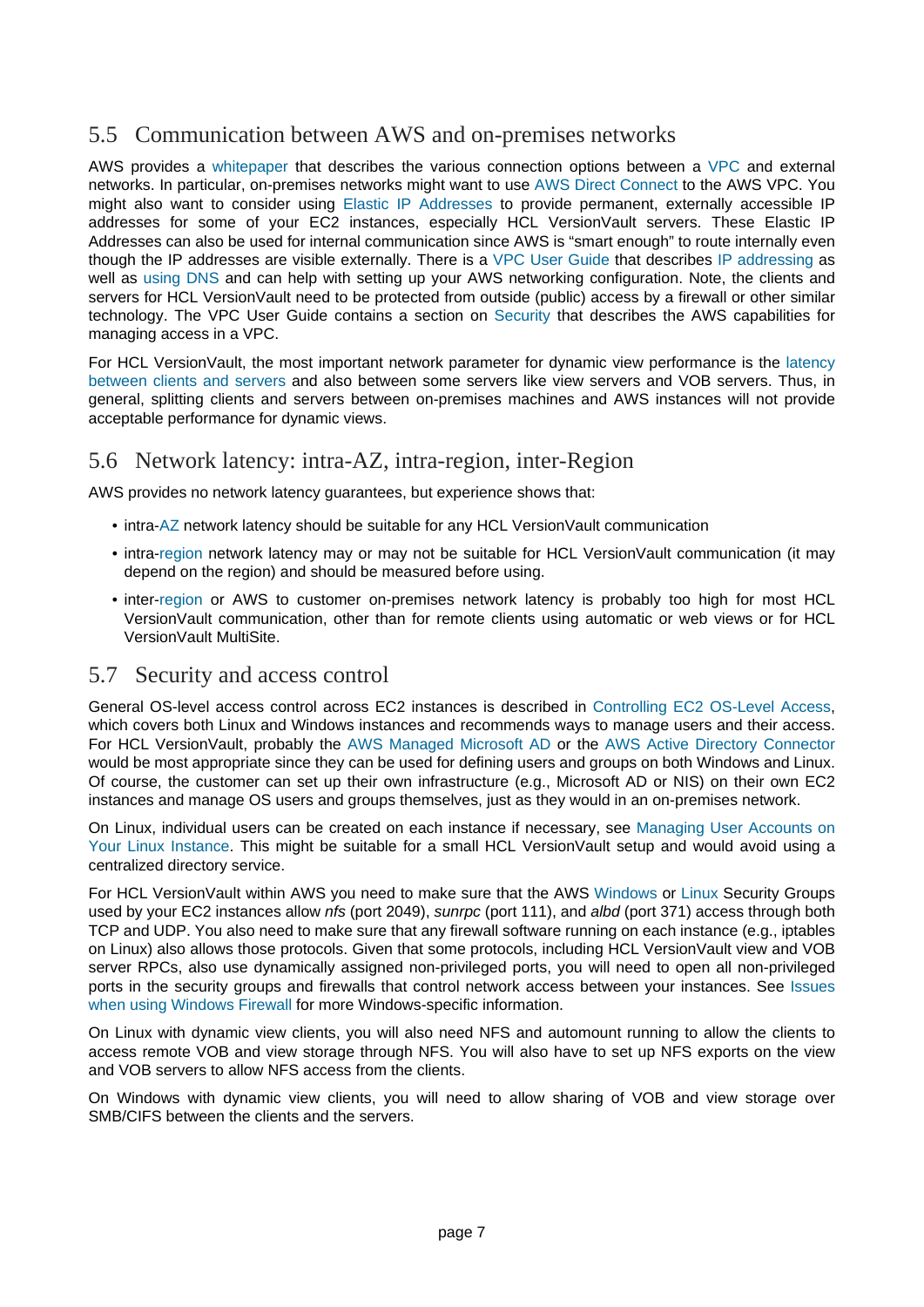### <span id="page-6-0"></span>5.5 Communication between AWS and on-premises networks

AWS provides [a whitepaper](https://d0.awsstatic.com/whitepapers/aws-amazon-vpc-connectivity-options.pdf) that describes the various connection options betwe[en a VPC](https://docs.aws.amazon.com/AWSEC2/latest/UserGuide/using-vpc.html) and external networks. In particular, on-premises networks might want to use [AWS Direct Connect](https://docs.aws.amazon.com/directconnect/) to the AWS VPC. You might also want to consider usi[ng Elastic IP Addresses](https://docs.aws.amazon.com/AWSEC2/latest/UserGuide/elastic-ip-addresses-eip.html) to provide permanent, externally accessible IP addresses for some of your EC2 instances, especially HCL VersionVault servers. These Elastic IP Addresses can also be used for internal communication since AWS is "smart enough" to route internally even though the IP addresses are visible externally. There is [a VPC User Guide](https://docs.aws.amazon.com/vpc/latest/userguide/what-is-amazon-vpc.html) that describ[es IP addressing](https://docs.aws.amazon.com/vpc/latest/userguide/vpc-ip-addressing.html) as well as [using DNS](https://docs.aws.amazon.com/vpc/latest/userguide/vpc-dns.html) and can help with setting up your AWS networking configuration. Note, the clients and servers for HCL VersionVault need to be protected from outside (public) access by a firewall or other similar technology. The VPC User Guide contains a section [on Security](https://docs.aws.amazon.com/vpc/latest/userguide/VPC_Security.html) that describes the AWS capabilities for managing access in a VPC.

For HCL VersionVault, the most important network parameter for dynamic view performance is t[he latency](https://www.ibm.com/support/pages/network-environments-ibm-rational-clearcase) [between clients and servers](https://www.ibm.com/support/pages/network-environments-ibm-rational-clearcase) and also between some servers like view servers and VOB servers. Thus, in general, splitting clients and servers between on-premises machines and AWS instances will not provide acceptable performance for dynamic views.

#### <span id="page-6-1"></span>5.6 Network latency: intra-AZ, intra-region, inter-Region

AWS provides no network latency guarantees, but experience shows that:

- intra-[AZ](https://docs.aws.amazon.com/AWSEC2/latest/UserGuide/using-regions-availability-zones.html) network latency should be suitable for any HCL VersionVault communication
- intra-[region](https://docs.aws.amazon.com/AWSEC2/latest/UserGuide/using-regions-availability-zones.html) network latency may or may not be suitable for HCL VersionVault communication (it may depend on the region) and should be measured before using.
- inter-[region](https://docs.aws.amazon.com/AWSEC2/latest/UserGuide/using-regions-availability-zones.html) or AWS to customer on-premises network latency is probably too high for most HCL VersionVault communication, other than for remote clients using automatic or web views or for HCL VersionVault MultiSite.

#### <span id="page-6-2"></span>5.7 Security and access control

General OS-level access control across EC2 instances is described [in Controlling EC2 OS-Level Access](https://aws.amazon.com/answers/security/aws-controlling-os-access-to-ec2/), which covers both Linux and Windows instances and recommends ways to manage users and their access. For HCL VersionVault, probably th[e AWS Managed Microsoft AD](https://docs.aws.amazon.com/directoryservice/latest/admin-guide/directory_microsoft_ad.html) or t[he AWS Active Directory Connector](https://docs.aws.amazon.com/directoryservice/latest/admin-guide/directory_ad_connector.html) would be most appropriate since they can be used for defining users and groups on both Windows and Linux. Of course, the customer can set up their own infrastructure (e.g., Microsoft AD or NIS) on their own EC2 instances and manage OS users and groups themselves, just as they would in an on-premises network.

On Linux, individual users can be created on each instance if necessary, s[ee Managing User Accounts on](https://docs.aws.amazon.com/AWSEC2/latest/UserGuide/managing-users.html) [Your Linux Instance.](https://docs.aws.amazon.com/AWSEC2/latest/UserGuide/managing-users.html) This might be suitable for a small HCL VersionVault setup and would avoid using a centralized directory service.

For HCL VersionVault within AWS you need to make sure that the AW[S Windows](https://docs.aws.amazon.com/AWSEC2/latest/WindowsGuide/using-network-security.html) [or Linux](https://docs.aws.amazon.com/AWSEC2/latest/UserGuide/using-network-security.html) Security Groups used by your EC2 instances allow nfs (port 2049), sunrpc (port 111), and albd (port 371) access through both TCP and UDP. You also need to make sure that any firewall software running on each instance (e.g., iptables on Linux) also allows those protocols. Given that some protocols, including HCL VersionVault view and VOB server RPCs, also use dynamically assigned non-privileged ports, you will need to open all non-privileged ports in the security groups and firewalls that control network access between your instances. [See Issues](https://www.ibm.com/support/knowledgecenter/SSSH27_9.0.2/com.ibm.rational.clearcase.platforms.doc/topics/r_win_firewall.htm) [when using Windows Firewall](https://www.ibm.com/support/knowledgecenter/SSSH27_9.0.2/com.ibm.rational.clearcase.platforms.doc/topics/r_win_firewall.htm) for more Windows-specific information.

On Linux with dynamic view clients, you will also need NFS and automount running to allow the clients to access remote VOB and view storage through NFS. You will also have to set up NFS exports on the view and VOB servers to allow NFS access from the clients.

On Windows with dynamic view clients, you will need to allow sharing of VOB and view storage over SMB/CIFS between the clients and the servers.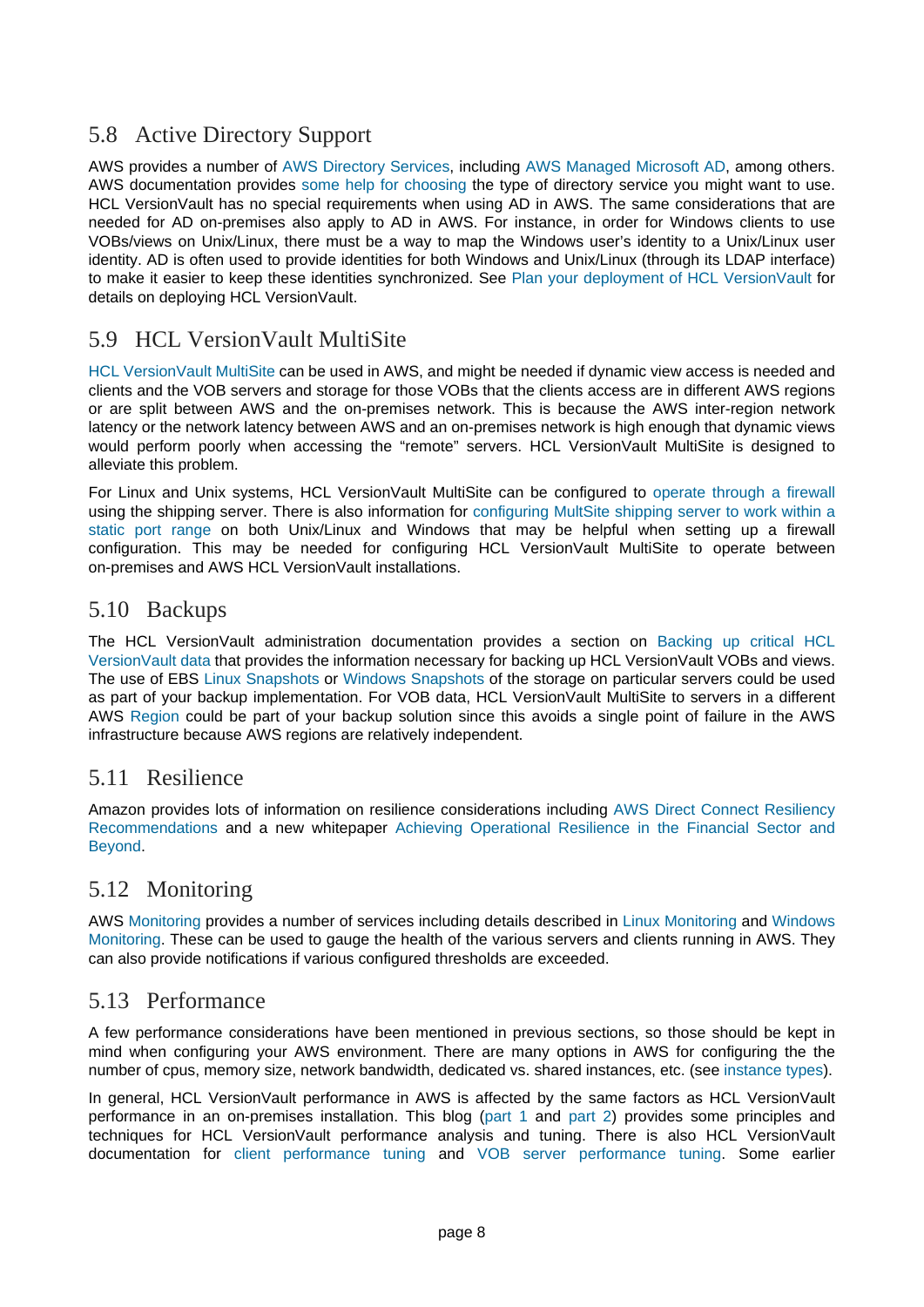### <span id="page-7-0"></span>5.8 Active Directory Support

AWS provides a number of [AWS Directory Services,](https://docs.aws.amazon.com/directory-service/index.html) includin[g AWS Managed Microsoft AD,](https://docs.aws.amazon.com/directoryservice/latest/admin-guide/directory_microsoft_ad.html) among others. AWS documentation provides [some help for choosing](https://docs.aws.amazon.com/directoryservice/latest/admin-guide/what_is.html) the type of directory service you might want to use. HCL VersionVault has no special requirements when using AD in AWS. The same considerations that are needed for AD on-premises also apply to AD in AWS. For instance, in order for Windows clients to use VOBs/views on Unix/Linux, there must be a way to map the Windows user's identity to a Unix/Linux user identity. AD is often used to provide identities for both Windows and Unix/Linux (through its LDAP interface) to make it easier to keep these identities synchronized. Se[e Plan your deployment of HCL VersionVault](https://www.ibm.com/support/knowledgecenter/SSSH27_9.0.1/com.ibm.rational.clearcase.cc_ms_install.doc/topics/c_planning_deployment.htm) for details on deploying HCL VersionVault.

### <span id="page-7-1"></span>5.9 HCL VersionVault MultiSite

[HCL VersionVault MultiSite](https://www.ibm.com/support/knowledgecenter/en/SSSH27_9.0.1/com.ibm.rational.clearcase.cc_ms_admin.doc/c_ccms_container.htm) can be used in AWS, and might be needed if dynamic view access is needed and clients and the VOB servers and storage for those VOBs that the clients access are in different AWS regions or are split between AWS and the on-premises network. This is because the AWS inter-region network latency or the network latency between AWS and an on-premises network is high enough that dynamic views would perform poorly when accessing the "remote" servers. HCL VersionVault MultiSite is designed to alleviate this problem.

For Linux and Unix systems, HCL VersionVault MultiSite can be configure[d to operate through a firewall](https://www.ibm.com/support/knowledgecenter/SSSH27_9.0.1/com.ibm.rational.clearcase.cc_ms_admin.doc/c_store_forward_firewall.htm) using the shipping server. There is also information fo[r configuring MultSite shipping server to work within a](https://www.ibm.com/support/pages/node/340043) [static port range](https://www.ibm.com/support/pages/node/340043) on both Unix/Linux and Windows that may be helpful when setting up a firewall configuration. This may be needed for configuring HCL VersionVault MultiSite to operate between on-premises and AWS HCL VersionVault installations.

#### <span id="page-7-2"></span>5.10 Backups

The HCL VersionVault administration documentation provides a secti[on on Backing up critical HCL](https://www.ibm.com/support/knowledgecenter/SSSH27_9.0.0/com.ibm.rational.clearcase.cc_admin.doc/topics/c_backup.htm) [VersionVault data](https://www.ibm.com/support/knowledgecenter/SSSH27_9.0.0/com.ibm.rational.clearcase.cc_admin.doc/topics/c_backup.htm) that provides the information necessary for backing up HCL VersionVault VOBs and views. The use of EBS [Linux Snapshots](https://docs.aws.amazon.com/AWSEC2/latest/UserGuide/EBSSnapshots.html) or [Windows Snapshots](https://docs.aws.amazon.com/AWSEC2/latest/WindowsGuide/EBSSnapshots.html) of the storage on particular servers could be used as part of your backup implementation. For VOB data, HCL VersionVault MultiSite to servers in a different AWS [Region](https://docs.aws.amazon.com/AWSEC2/latest/UserGuide/using-regions-availability-zones.html) could be part of your backup solution since this avoids a single point of failure in the AWS infrastructure because AWS regions are relatively independent.

#### <span id="page-7-3"></span>5.11 Resilience

Amazon provides lots of information on resilience considerations includin[g AWS Direct Connect Resiliency](https://aws.amazon.com/directconnect/resiliency-recommendation/) [Recommendations](https://aws.amazon.com/directconnect/resiliency-recommendation/) and a new whitepap[er Achieving Operational Resilience in the Financial Sector and](https://aws.amazon.com/blogs/security/new-whitepaper-achieving-operational-resilience-in-the-financial-sector-and-beyond/) [Beyond.](https://aws.amazon.com/blogs/security/new-whitepaper-achieving-operational-resilience-in-the-financial-sector-and-beyond/)

#### <span id="page-7-4"></span>5.12 Monitoring

AWS [Monitoring](https://docs.aws.amazon.com/AWSEC2/latest/UserGuide/monitoring_ec2.html) provides a number of services including details described in [Linux Monitoring](https://docs.aws.amazon.com/AWSEC2/latest/UserGuide/monitoring_automated_manual.html) an[d Windows](https://docs.aws.amazon.com/AWSEC2/latest/WindowsGuide/monitoring_automated_manual.html) [Monitoring.](https://docs.aws.amazon.com/AWSEC2/latest/WindowsGuide/monitoring_automated_manual.html) These can be used to gauge the health of the various servers and clients running in AWS. They can also provide notifications if various configured thresholds are exceeded.

#### <span id="page-7-5"></span>5.13 Performance

A few performance considerations have been mentioned in previous sections, so those should be kept in mind when configuring your AWS environment. There are many options in AWS for configuring the the number of cpus, memory size, network bandwidth, dedicated vs. shared instances, etc. (see [instance types\)](https://docs.aws.amazon.com/AWSEC2/latest/UserGuide/instance-types.html).

In general, HCL VersionVault performance in AWS is affected by the same factors as HCL VersionVault performance in an on-premises installation. This bl[og \(part 1](http://www.cccqcommunity.com/blogs/principles-and-techniques-for-clearcase-performance-analysis-tuning-and-maintenance) [and part 2](http://www.cccqcommunity.com/blogs/part-2-principles-and-techniques-for-clearcase-performance-analysis-tuning-and-maintenance)) provides some principles and techniques for HCL VersionVault performance analysis and tuning. There is also HCL VersionVault documentation fo[r client performance tuning](https://www.ibm.com/support/knowledgecenter/SSSH27_9.0.1/com.ibm.rational.clearcase.cc_admin.doc/topics/c_perf_clnt.htm) [and VOB server performance tuning.](https://www.ibm.com/support/knowledgecenter/SSSH27_9.0.1/com.ibm.rational.clearcase.cc_admin.doc/topics/c_perf_svr.htm) Some earlier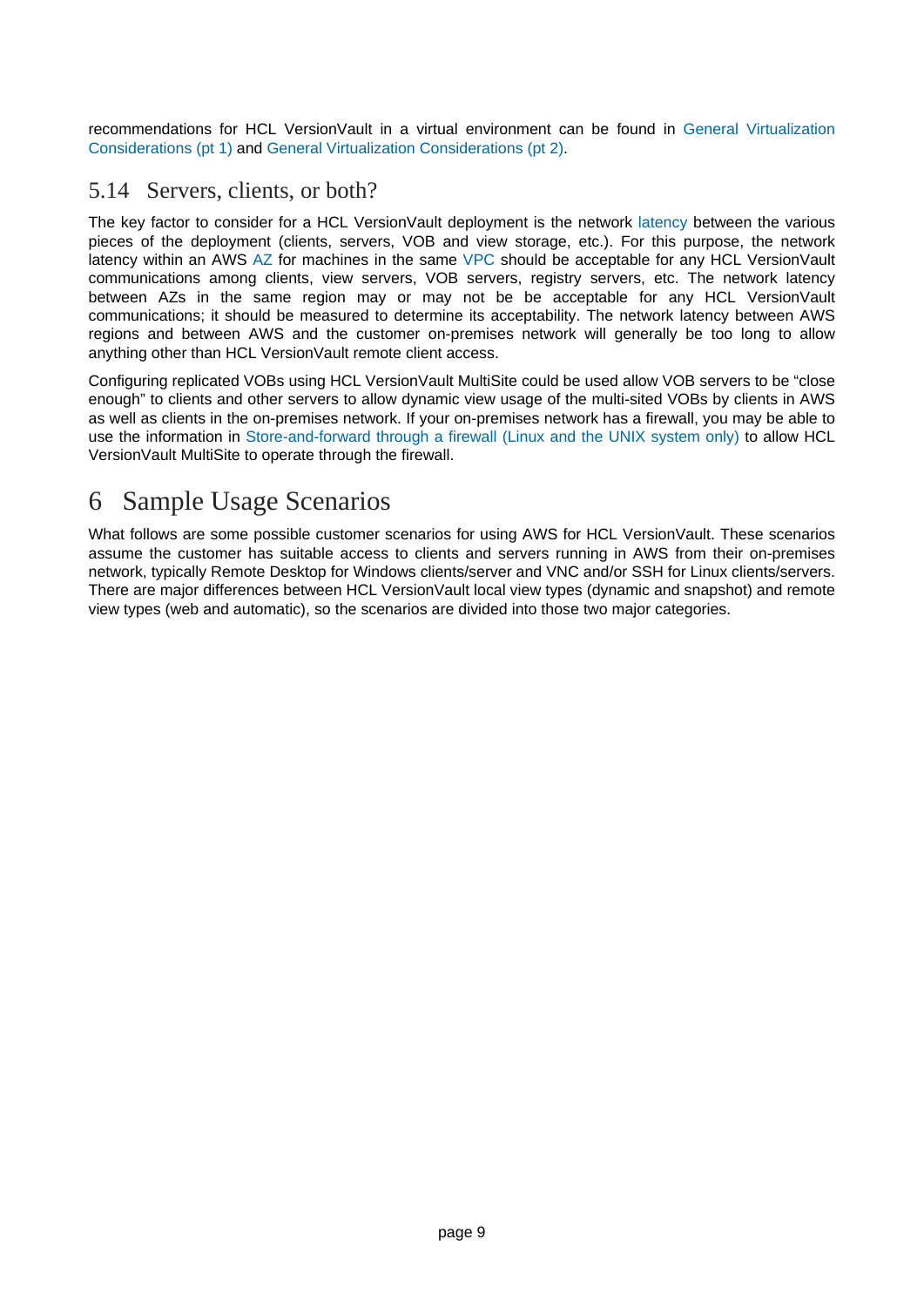recommendations for HCL VersionVault in a virtual environment can be fou[nd in General Virtualization](https://www.ibm.com/developerworks/rational/library/smart-virtualization-1/smart-virtualization-1-pdf.pdf) [Considerations \(pt 1\)](https://www.ibm.com/developerworks/rational/library/smart-virtualization-1/smart-virtualization-1-pdf.pdf) and [General Virtualization Considerations \(pt 2\)](https://www.ibm.com/developerworks/rational/library/smart-virtualization-2/smart-virtualization-2-pdf.pdf).

#### <span id="page-8-0"></span>5.14 Servers, clients, or both?

The key factor to consider for a HCL VersionVault deployment is the netw[ork latency](https://www.ibm.com/support/pages/network-environments-ibm-rational-clearcase) between the various pieces of the deployment (clients, servers, VOB and view storage, etc.). For this purpose, the network latency within an AW[S AZ](https://docs.aws.amazon.com/AWSEC2/latest/UserGuide/using-regions-availability-zones.html) for machines in the sa[me VPC](https://docs.aws.amazon.com/AWSEC2/latest/UserGuide/using-vpc.html) should be acceptable for any HCL VersionVault communications among clients, view servers, VOB servers, registry servers, etc. The network latency between AZs in the same region may or may not be be acceptable for any HCL VersionVault communications; it should be measured to determine its acceptability. The network latency between AWS regions and between AWS and the customer on-premises network will generally be too long to allow anything other than HCL VersionVault remote client access.

Configuring replicated VOBs using HCL VersionVault MultiSite could be used allow VOB servers to be "close enough" to clients and other servers to allow dynamic view usage of the multi-sited VOBs by clients in AWS as well as clients in the on-premises network. If your on-premises network has a firewall, you may be able to use the information in [Store-and-forward through a firewall \(Linux and the UNIX system only\)](https://www.ibm.com/support/knowledgecenter/SSSH27_9.0.1/com.ibm.rational.clearcase.cc_ms_admin.doc/c_store_forward_firewall.htm) to allow HCL VersionVault MultiSite to operate through the firewall.

# <span id="page-8-1"></span>6 Sample Usage Scenarios

What follows are some possible customer scenarios for using AWS for HCL VersionVault. These scenarios assume the customer has suitable access to clients and servers running in AWS from their on-premises network, typically Remote Desktop for Windows clients/server and VNC and/or SSH for Linux clients/servers. There are major differences between HCL VersionVault local view types (dynamic and snapshot) and remote view types (web and automatic), so the scenarios are divided into those two major categories.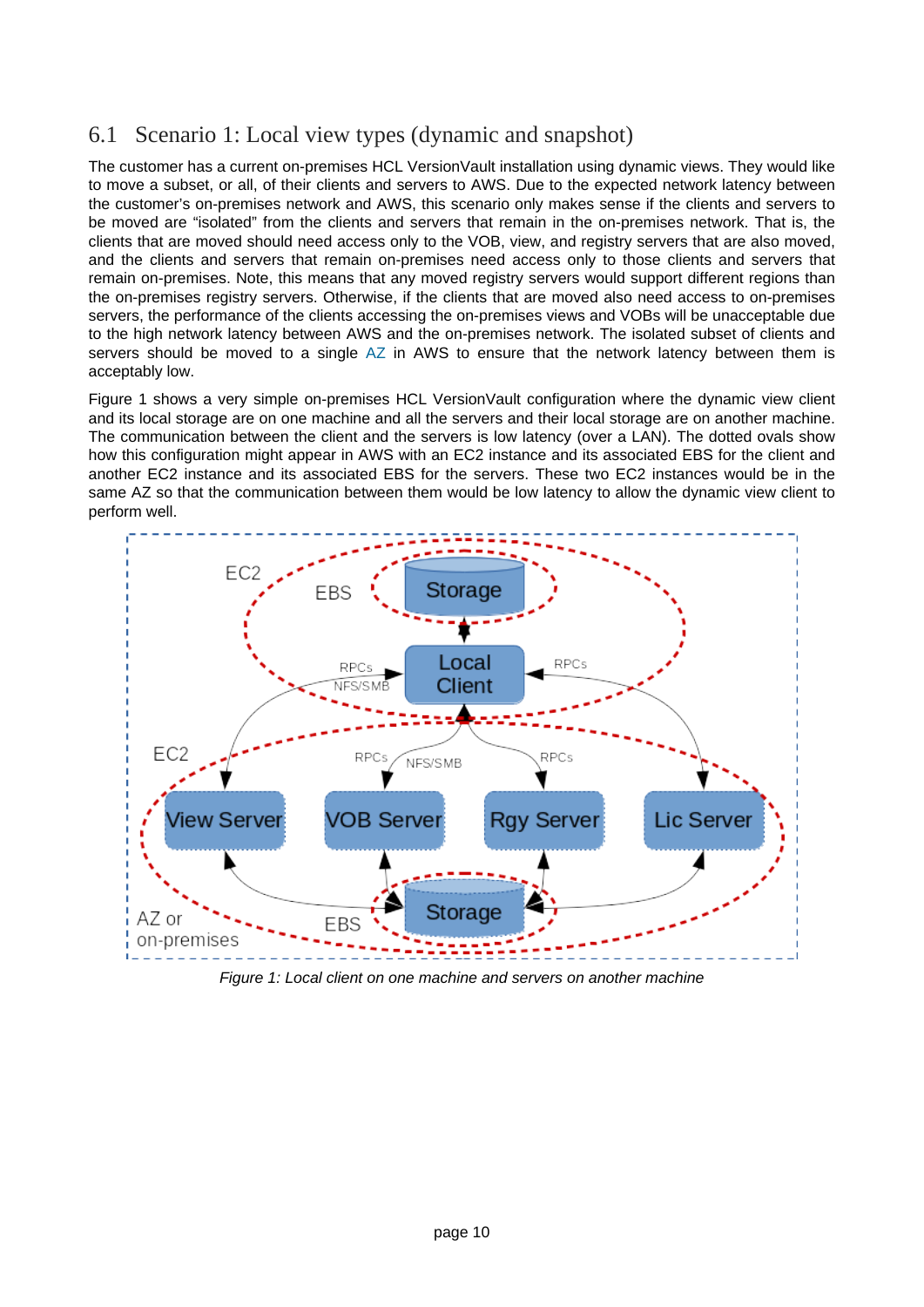### <span id="page-9-0"></span>6.1 Scenario 1: Local view types (dynamic and snapshot)

The customer has a current on-premises HCL VersionVault installation using dynamic views. They would like to move a subset, or all, of their clients and servers to AWS. Due to the expected network latency between the customer's on-premises network and AWS, this scenario only makes sense if the clients and servers to be moved are "isolated" from the clients and servers that remain in the on-premises network. That is, the clients that are moved should need access only to the VOB, view, and registry servers that are also moved, and the clients and servers that remain on-premises need access only to those clients and servers that remain on-premises. Note, this means that any moved registry servers would support different regions than the on-premises registry servers. Otherwise, if the clients that are moved also need access to on-premises servers, the performance of the clients accessing the on-premises views and VOBs will be unacceptable due to the high network latency between AWS and the on-premises network. The isolated subset of clients and servers should be moved to a sin[gle AZ](https://docs.aws.amazon.com/AWSEC2/latest/UserGuide/using-regions-availability-zones.html) in AWS to ensure that the network latency between them is acceptably low.

Figure 1 shows a very simple on-premises HCL VersionVault configuration where the dynamic view client and its local storage are on one machine and all the servers and their local storage are on another machine. The communication between the client and the servers is low latency (over a LAN). The dotted ovals show how this configuration might appear in AWS with an EC2 instance and its associated EBS for the client and another EC2 instance and its associated EBS for the servers. These two EC2 instances would be in the same AZ so that the communication between them would be low latency to allow the dynamic view client to perform well.



Figure 1: Local client on one machine and servers on another machine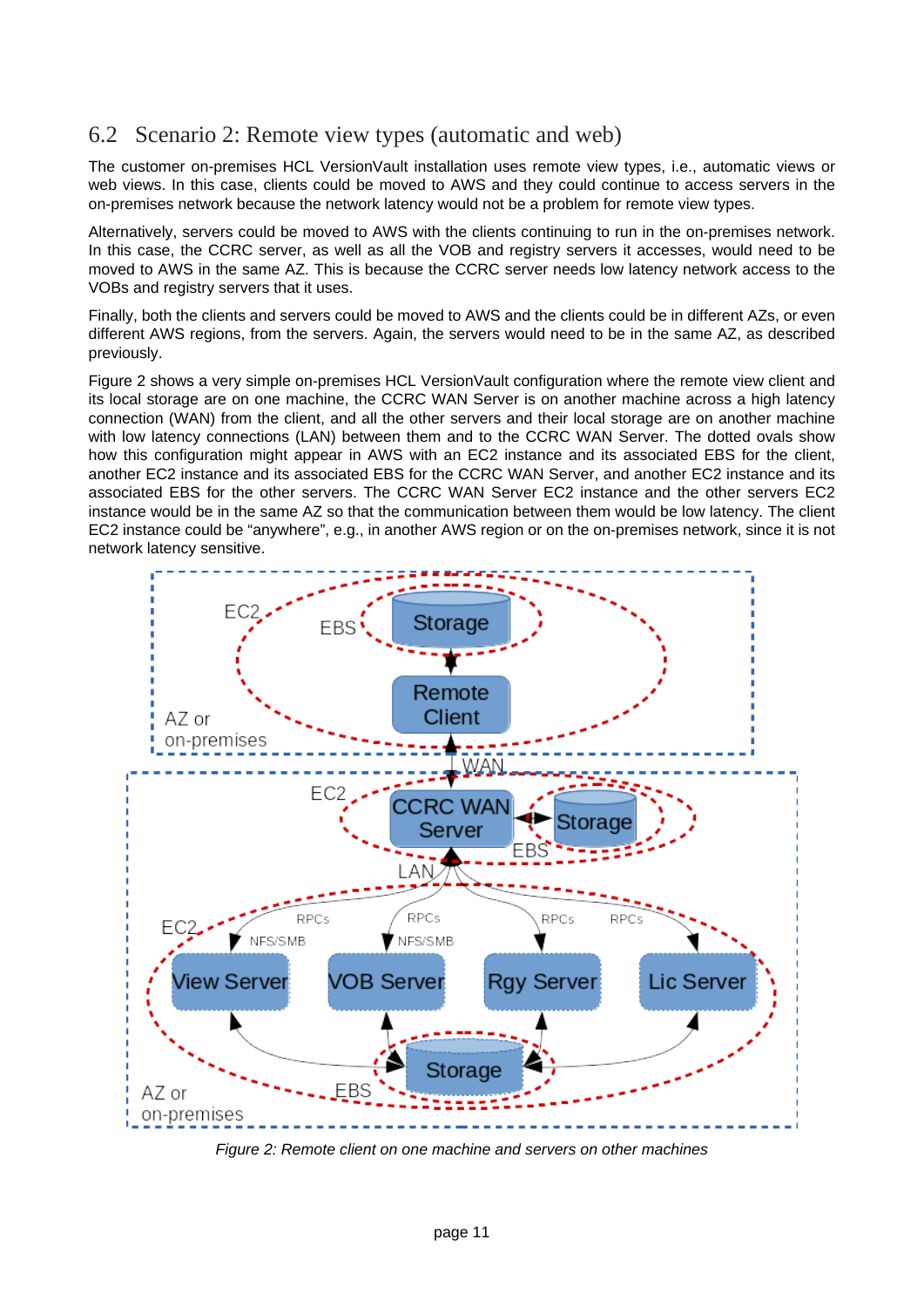#### <span id="page-10-0"></span>6.2 Scenario 2: Remote view types (automatic and web)

The customer on-premises HCL VersionVault installation uses remote view types, i.e., automatic views or web views. In this case, clients could be moved to AWS and they could continue to access servers in the on-premises network because the network latency would not be a problem for remote view types.

Alternatively, servers could be moved to AWS with the clients continuing to run in the on-premises network. In this case, the CCRC server, as well as all the VOB and registry servers it accesses, would need to be moved to AWS in the same AZ. This is because the CCRC server needs low latency network access to the VOBs and registry servers that it uses.

Finally, both the clients and servers could be moved to AWS and the clients could be in different AZs, or even different AWS regions, from the servers. Again, the servers would need to be in the same AZ, as described previously.

Figure 2 shows a very simple on-premises HCL VersionVault configuration where the remote view client and its local storage are on one machine, the CCRC WAN Server is on another machine across a high latency connection (WAN) from the client, and all the other servers and their local storage are on another machine with low latency connections (LAN) between them and to the CCRC WAN Server. The dotted ovals show how this configuration might appear in AWS with an EC2 instance and its associated EBS for the client, another EC2 instance and its associated EBS for the CCRC WAN Server, and another EC2 instance and its associated EBS for the other servers. The CCRC WAN Server EC2 instance and the other servers EC2 instance would be in the same AZ so that the communication between them would be low latency. The client EC2 instance could be "anywhere", e.g., in another AWS region or on the on-premises network, since it is not network latency sensitive.



Figure 2: Remote client on one machine and servers on other machines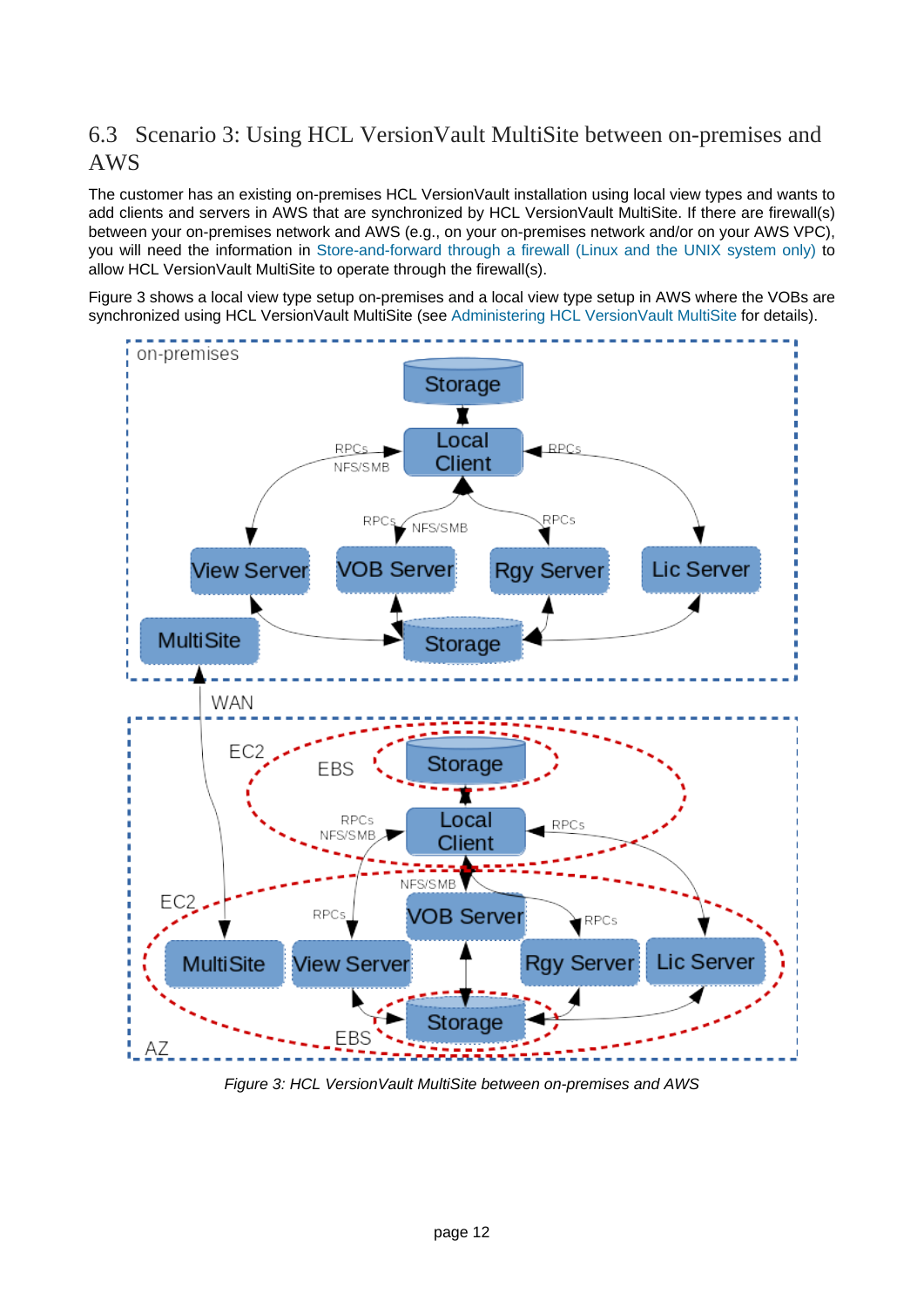## <span id="page-11-0"></span>6.3 Scenario 3: Using HCL VersionVault MultiSite between on-premises and AWS

The customer has an existing on-premises HCL VersionVault installation using local view types and wants to add clients and servers in AWS that are synchronized by HCL VersionVault MultiSite. If there are firewall(s) between your on-premises network and AWS (e.g., on your on-premises network and/or on your AWS VPC), you will need the information i[n Store-and-forward through a firewall \(Linux and the UNIX system only\)](https://www.ibm.com/support/knowledgecenter/SSSH27_9.0.1/com.ibm.rational.clearcase.cc_ms_admin.doc/c_store_forward_firewall.htm) to allow HCL VersionVault MultiSite to operate through the firewall(s).

Figure 3 shows a local view type setup on-premises and a local view type setup in AWS where the VOBs are synchronized using HCL VersionVault MultiSite (see [Administering HCL VersionVault MultiSite](https://www.ibm.com/support/knowledgecenter/en/SSSH27_9.0.1/com.ibm.rational.clearcase.cc_ms_admin.doc/c_ccms_container.htm) for details).



Figure 3: HCL VersionVault MultiSite between on-premises and AWS